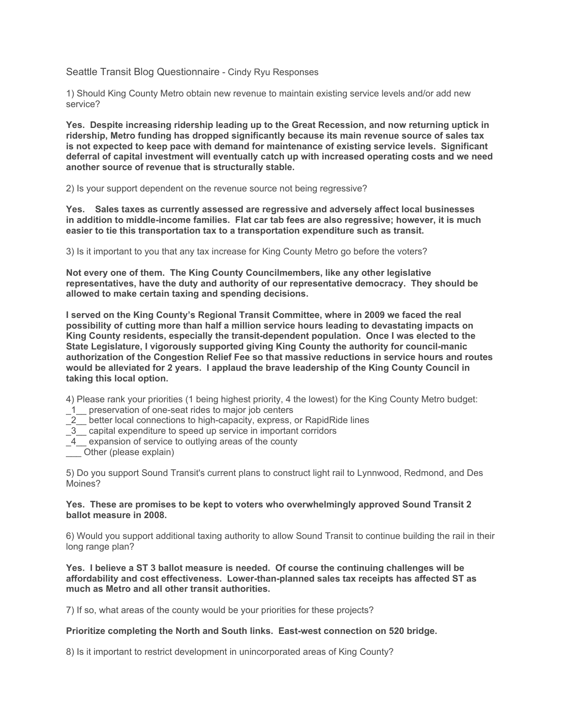Seattle Transit Blog Questionnaire - Cindy Ryu Responses

1) Should King County Metro obtain new revenue to maintain existing service levels and/or add new service?

**Yes. Despite increasing ridership leading up to the Great Recession, and now returning uptick in ridership, Metro funding has dropped significantly because its main revenue source of sales tax is not expected to keep pace with demand for maintenance of existing service levels. Significant deferral of capital investment will eventually catch up with increased operating costs and we need another source of revenue that is structurally stable.** 

2) Is your support dependent on the revenue source not being regressive?

**Yes. Sales taxes as currently assessed are regressive and adversely affect local businesses in addition to middle-income families. Flat car tab fees are also regressive; however, it is much easier to tie this transportation tax to a transportation expenditure such as transit.** 

3) Is it important to you that any tax increase for King County Metro go before the voters?

**Not every one of them. The King County Councilmembers, like any other legislative representatives, have the duty and authority of our representative democracy. They should be allowed to make certain taxing and spending decisions.** 

**I served on the King County's Regional Transit Committee, where in 2009 we faced the real possibility of cutting more than half a million service hours leading to devastating impacts on King County residents, especially the transit-dependent population. Once I was elected to the State Legislature, I vigorously supported giving King County the authority for council-manic authorization of the Congestion Relief Fee so that massive reductions in service hours and routes would be alleviated for 2 years. I applaud the brave leadership of the King County Council in taking this local option.** 

4) Please rank your priorities (1 being highest priority, 4 the lowest) for the King County Metro budget:

- \_1\_\_ preservation of one-seat rides to major job centers
- $\frac{1}{2}$  better local connections to high-capacity, express, or RapidRide lines
- \_3\_\_ capital expenditure to speed up service in important corridors
- \_4\_\_ expansion of service to outlying areas of the county
- \_\_\_ Other (please explain)

5) Do you support Sound Transit's current plans to construct light rail to Lynnwood, Redmond, and Des Moines?

### **Yes. These are promises to be kept to voters who overwhelmingly approved Sound Transit 2 ballot measure in 2008.**

6) Would you support additional taxing authority to allow Sound Transit to continue building the rail in their long range plan?

**Yes. I believe a ST 3 ballot measure is needed. Of course the continuing challenges will be affordability and cost effectiveness. Lower-than-planned sales tax receipts has affected ST as much as Metro and all other transit authorities.** 

7) If so, what areas of the county would be your priorities for these projects?

# **Prioritize completing the North and South links. East-west connection on 520 bridge.**

8) Is it important to restrict development in unincorporated areas of King County?